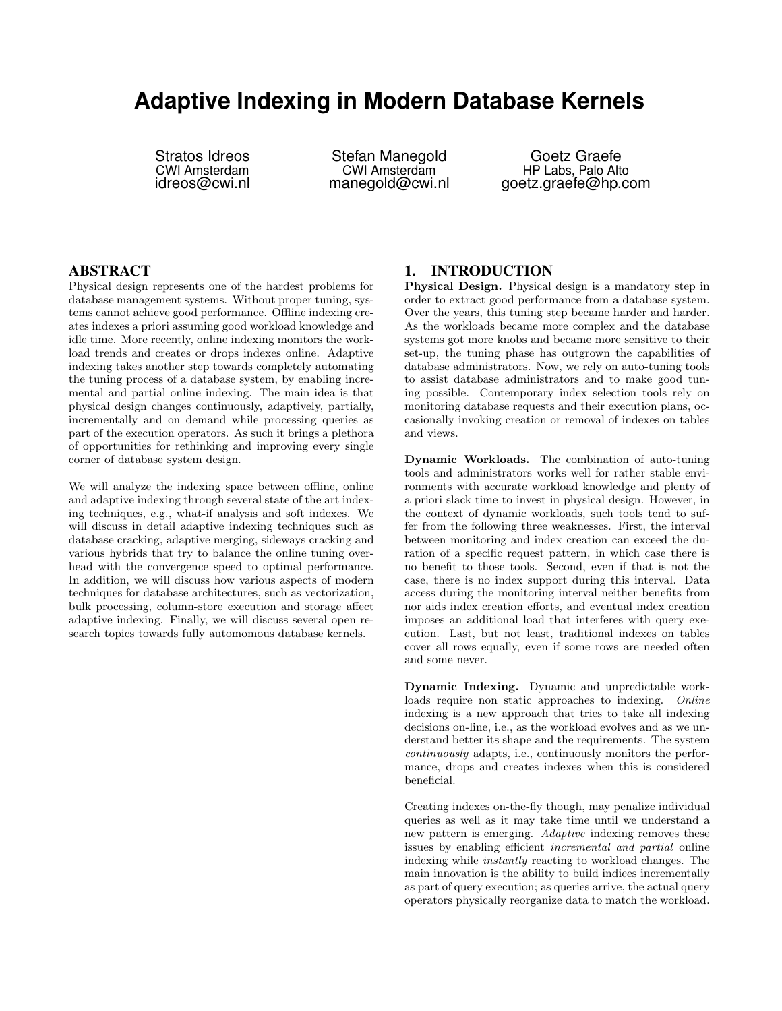# **Adaptive Indexing in Modern Database Kernels**

Stratos Idreos CWI Amsterdam idreos@cwi.nl

Stefan Manegold CWI Amsterdam manegold@cwi.nl

Goetz Graefe HP Labs, Palo Alto goetz.graefe@hp.com

### ABSTRACT

Physical design represents one of the hardest problems for database management systems. Without proper tuning, systems cannot achieve good performance. Offline indexing creates indexes a priori assuming good workload knowledge and idle time. More recently, online indexing monitors the workload trends and creates or drops indexes online. Adaptive indexing takes another step towards completely automating the tuning process of a database system, by enabling incremental and partial online indexing. The main idea is that physical design changes continuously, adaptively, partially, incrementally and on demand while processing queries as part of the execution operators. As such it brings a plethora of opportunities for rethinking and improving every single corner of database system design.

We will analyze the indexing space between offline, online and adaptive indexing through several state of the art indexing techniques, e.g., what-if analysis and soft indexes. We will discuss in detail adaptive indexing techniques such as database cracking, adaptive merging, sideways cracking and various hybrids that try to balance the online tuning overhead with the convergence speed to optimal performance. In addition, we will discuss how various aspects of modern techniques for database architectures, such as vectorization, bulk processing, column-store execution and storage affect adaptive indexing. Finally, we will discuss several open research topics towards fully automomous database kernels.

## 1. INTRODUCTION

Physical Design. Physical design is a mandatory step in order to extract good performance from a database system. Over the years, this tuning step became harder and harder. As the workloads became more complex and the database systems got more knobs and became more sensitive to their set-up, the tuning phase has outgrown the capabilities of database administrators. Now, we rely on auto-tuning tools to assist database administrators and to make good tuning possible. Contemporary index selection tools rely on monitoring database requests and their execution plans, occasionally invoking creation or removal of indexes on tables and views.

Dynamic Workloads. The combination of auto-tuning tools and administrators works well for rather stable environments with accurate workload knowledge and plenty of a priori slack time to invest in physical design. However, in the context of dynamic workloads, such tools tend to suffer from the following three weaknesses. First, the interval between monitoring and index creation can exceed the duration of a specific request pattern, in which case there is no benefit to those tools. Second, even if that is not the case, there is no index support during this interval. Data access during the monitoring interval neither benefits from nor aids index creation efforts, and eventual index creation imposes an additional load that interferes with query execution. Last, but not least, traditional indexes on tables cover all rows equally, even if some rows are needed often and some never.

Dynamic Indexing. Dynamic and unpredictable workloads require non static approaches to indexing. Online indexing is a new approach that tries to take all indexing decisions on-line, i.e., as the workload evolves and as we understand better its shape and the requirements. The system continuously adapts, i.e., continuously monitors the performance, drops and creates indexes when this is considered beneficial.

Creating indexes on-the-fly though, may penalize individual queries as well as it may take time until we understand a new pattern is emerging. Adaptive indexing removes these issues by enabling efficient incremental and partial online indexing while instantly reacting to workload changes. The main innovation is the ability to build indices incrementally as part of query execution; as queries arrive, the actual query operators physically reorganize data to match the workload.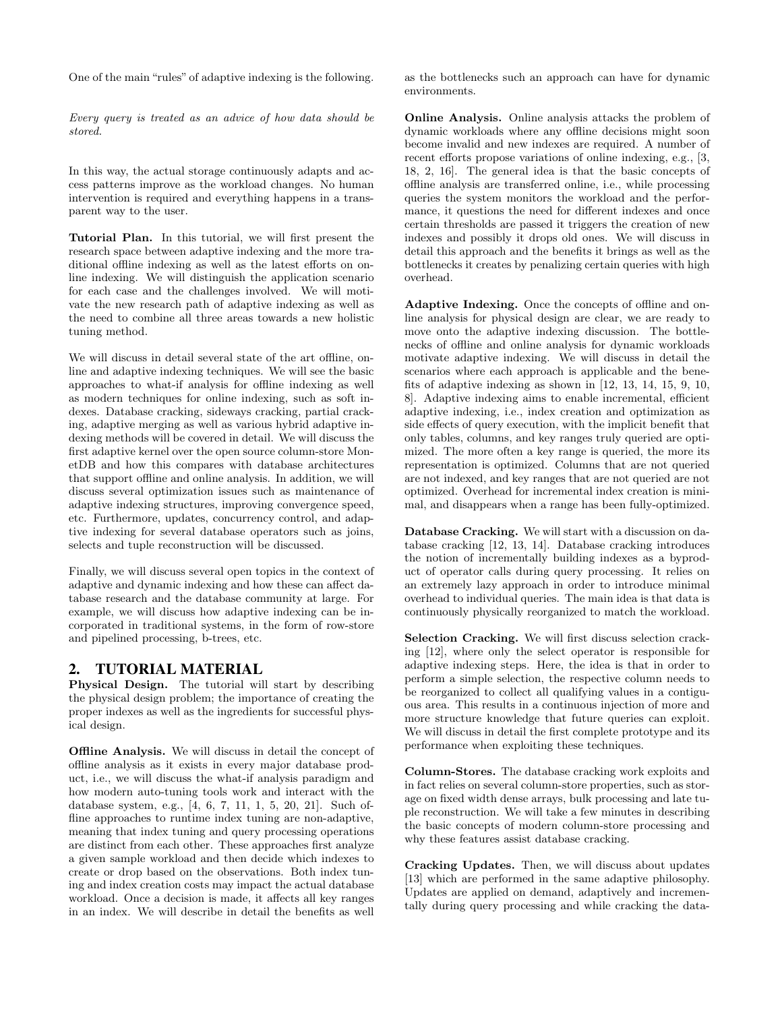One of the main "rules" of adaptive indexing is the following.

Every query is treated as an advice of how data should be stored.

In this way, the actual storage continuously adapts and access patterns improve as the workload changes. No human intervention is required and everything happens in a transparent way to the user.

Tutorial Plan. In this tutorial, we will first present the research space between adaptive indexing and the more traditional offline indexing as well as the latest efforts on online indexing. We will distinguish the application scenario for each case and the challenges involved. We will motivate the new research path of adaptive indexing as well as the need to combine all three areas towards a new holistic tuning method.

We will discuss in detail several state of the art offline, online and adaptive indexing techniques. We will see the basic approaches to what-if analysis for offline indexing as well as modern techniques for online indexing, such as soft indexes. Database cracking, sideways cracking, partial cracking, adaptive merging as well as various hybrid adaptive indexing methods will be covered in detail. We will discuss the first adaptive kernel over the open source column-store MonetDB and how this compares with database architectures that support offline and online analysis. In addition, we will discuss several optimization issues such as maintenance of adaptive indexing structures, improving convergence speed, etc. Furthermore, updates, concurrency control, and adaptive indexing for several database operators such as joins, selects and tuple reconstruction will be discussed.

Finally, we will discuss several open topics in the context of adaptive and dynamic indexing and how these can affect database research and the database community at large. For example, we will discuss how adaptive indexing can be incorporated in traditional systems, in the form of row-store and pipelined processing, b-trees, etc.

#### 2. TUTORIAL MATERIAL

Physical Design. The tutorial will start by describing the physical design problem; the importance of creating the proper indexes as well as the ingredients for successful physical design.

Offline Analysis. We will discuss in detail the concept of offline analysis as it exists in every major database product, i.e., we will discuss the what-if analysis paradigm and how modern auto-tuning tools work and interact with the database system, e.g., [4, 6, 7, 11, 1, 5, 20, 21]. Such offline approaches to runtime index tuning are non-adaptive, meaning that index tuning and query processing operations are distinct from each other. These approaches first analyze a given sample workload and then decide which indexes to create or drop based on the observations. Both index tuning and index creation costs may impact the actual database workload. Once a decision is made, it affects all key ranges in an index. We will describe in detail the benefits as well

as the bottlenecks such an approach can have for dynamic environments.

Online Analysis. Online analysis attacks the problem of dynamic workloads where any offline decisions might soon become invalid and new indexes are required. A number of recent efforts propose variations of online indexing, e.g., [3, 18, 2, 16]. The general idea is that the basic concepts of offline analysis are transferred online, i.e., while processing queries the system monitors the workload and the performance, it questions the need for different indexes and once certain thresholds are passed it triggers the creation of new indexes and possibly it drops old ones. We will discuss in detail this approach and the benefits it brings as well as the bottlenecks it creates by penalizing certain queries with high overhead.

Adaptive Indexing. Once the concepts of offline and online analysis for physical design are clear, we are ready to move onto the adaptive indexing discussion. The bottlenecks of offline and online analysis for dynamic workloads motivate adaptive indexing. We will discuss in detail the scenarios where each approach is applicable and the benefits of adaptive indexing as shown in [12, 13, 14, 15, 9, 10, 8]. Adaptive indexing aims to enable incremental, efficient adaptive indexing, i.e., index creation and optimization as side effects of query execution, with the implicit benefit that only tables, columns, and key ranges truly queried are optimized. The more often a key range is queried, the more its representation is optimized. Columns that are not queried are not indexed, and key ranges that are not queried are not optimized. Overhead for incremental index creation is minimal, and disappears when a range has been fully-optimized.

Database Cracking. We will start with a discussion on database cracking [12, 13, 14]. Database cracking introduces the notion of incrementally building indexes as a byproduct of operator calls during query processing. It relies on an extremely lazy approach in order to introduce minimal overhead to individual queries. The main idea is that data is continuously physically reorganized to match the workload.

Selection Cracking. We will first discuss selection cracking [12], where only the select operator is responsible for adaptive indexing steps. Here, the idea is that in order to perform a simple selection, the respective column needs to be reorganized to collect all qualifying values in a contiguous area. This results in a continuous injection of more and more structure knowledge that future queries can exploit. We will discuss in detail the first complete prototype and its performance when exploiting these techniques.

Column-Stores. The database cracking work exploits and in fact relies on several column-store properties, such as storage on fixed width dense arrays, bulk processing and late tuple reconstruction. We will take a few minutes in describing the basic concepts of modern column-store processing and why these features assist database cracking.

Cracking Updates. Then, we will discuss about updates [13] which are performed in the same adaptive philosophy. Updates are applied on demand, adaptively and incrementally during query processing and while cracking the data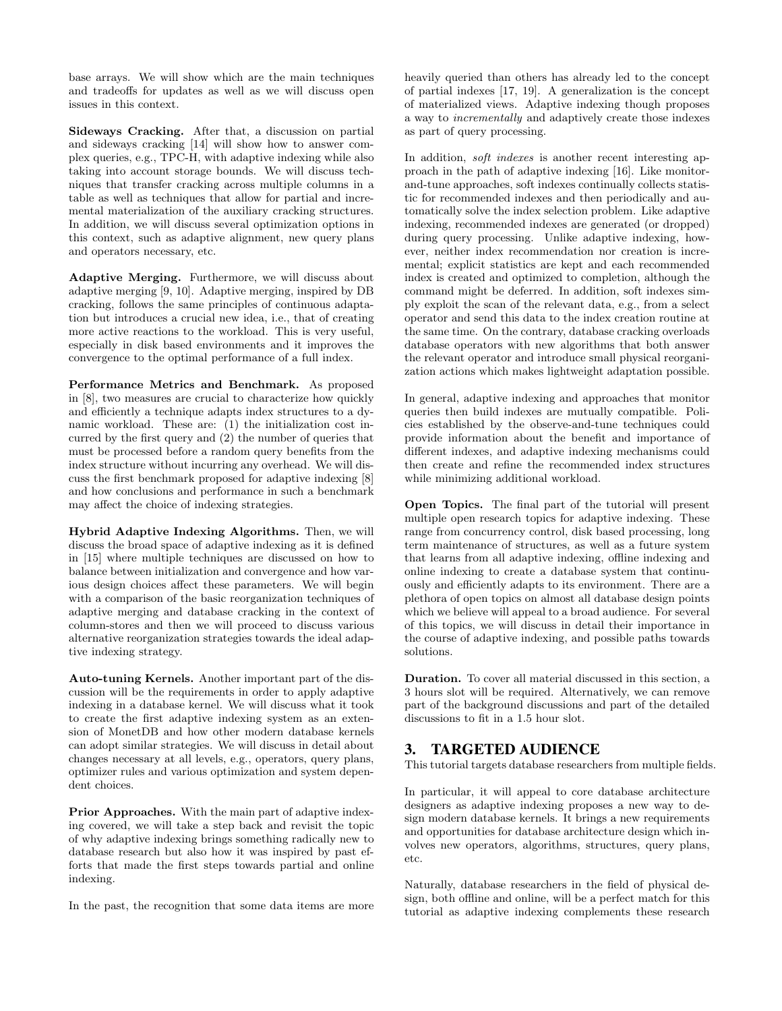base arrays. We will show which are the main techniques and tradeoffs for updates as well as we will discuss open issues in this context.

Sideways Cracking. After that, a discussion on partial and sideways cracking [14] will show how to answer complex queries, e.g., TPC-H, with adaptive indexing while also taking into account storage bounds. We will discuss techniques that transfer cracking across multiple columns in a table as well as techniques that allow for partial and incremental materialization of the auxiliary cracking structures. In addition, we will discuss several optimization options in this context, such as adaptive alignment, new query plans and operators necessary, etc.

Adaptive Merging. Furthermore, we will discuss about adaptive merging [9, 10]. Adaptive merging, inspired by DB cracking, follows the same principles of continuous adaptation but introduces a crucial new idea, i.e., that of creating more active reactions to the workload. This is very useful, especially in disk based environments and it improves the convergence to the optimal performance of a full index.

Performance Metrics and Benchmark. As proposed in [8], two measures are crucial to characterize how quickly and efficiently a technique adapts index structures to a dynamic workload. These are: (1) the initialization cost incurred by the first query and (2) the number of queries that must be processed before a random query benefits from the index structure without incurring any overhead. We will discuss the first benchmark proposed for adaptive indexing [8] and how conclusions and performance in such a benchmark may affect the choice of indexing strategies.

Hybrid Adaptive Indexing Algorithms. Then, we will discuss the broad space of adaptive indexing as it is defined in [15] where multiple techniques are discussed on how to balance between initialization and convergence and how various design choices affect these parameters. We will begin with a comparison of the basic reorganization techniques of adaptive merging and database cracking in the context of column-stores and then we will proceed to discuss various alternative reorganization strategies towards the ideal adaptive indexing strategy.

Auto-tuning Kernels. Another important part of the discussion will be the requirements in order to apply adaptive indexing in a database kernel. We will discuss what it took to create the first adaptive indexing system as an extension of MonetDB and how other modern database kernels can adopt similar strategies. We will discuss in detail about changes necessary at all levels, e.g., operators, query plans, optimizer rules and various optimization and system dependent choices.

Prior Approaches. With the main part of adaptive indexing covered, we will take a step back and revisit the topic of why adaptive indexing brings something radically new to database research but also how it was inspired by past efforts that made the first steps towards partial and online indexing.

In the past, the recognition that some data items are more

heavily queried than others has already led to the concept of partial indexes [17, 19]. A generalization is the concept of materialized views. Adaptive indexing though proposes a way to incrementally and adaptively create those indexes as part of query processing.

In addition, *soft indexes* is another recent interesting approach in the path of adaptive indexing [16]. Like monitorand-tune approaches, soft indexes continually collects statistic for recommended indexes and then periodically and automatically solve the index selection problem. Like adaptive indexing, recommended indexes are generated (or dropped) during query processing. Unlike adaptive indexing, however, neither index recommendation nor creation is incremental; explicit statistics are kept and each recommended index is created and optimized to completion, although the command might be deferred. In addition, soft indexes simply exploit the scan of the relevant data, e.g., from a select operator and send this data to the index creation routine at the same time. On the contrary, database cracking overloads database operators with new algorithms that both answer the relevant operator and introduce small physical reorganization actions which makes lightweight adaptation possible.

In general, adaptive indexing and approaches that monitor queries then build indexes are mutually compatible. Policies established by the observe-and-tune techniques could provide information about the benefit and importance of different indexes, and adaptive indexing mechanisms could then create and refine the recommended index structures while minimizing additional workload.

Open Topics. The final part of the tutorial will present multiple open research topics for adaptive indexing. These range from concurrency control, disk based processing, long term maintenance of structures, as well as a future system that learns from all adaptive indexing, offline indexing and online indexing to create a database system that continuously and efficiently adapts to its environment. There are a plethora of open topics on almost all database design points which we believe will appeal to a broad audience. For several of this topics, we will discuss in detail their importance in the course of adaptive indexing, and possible paths towards solutions.

Duration. To cover all material discussed in this section, a 3 hours slot will be required. Alternatively, we can remove part of the background discussions and part of the detailed discussions to fit in a 1.5 hour slot.

## 3. TARGETED AUDIENCE

This tutorial targets database researchers from multiple fields.

In particular, it will appeal to core database architecture designers as adaptive indexing proposes a new way to design modern database kernels. It brings a new requirements and opportunities for database architecture design which involves new operators, algorithms, structures, query plans, etc.

Naturally, database researchers in the field of physical design, both offline and online, will be a perfect match for this tutorial as adaptive indexing complements these research